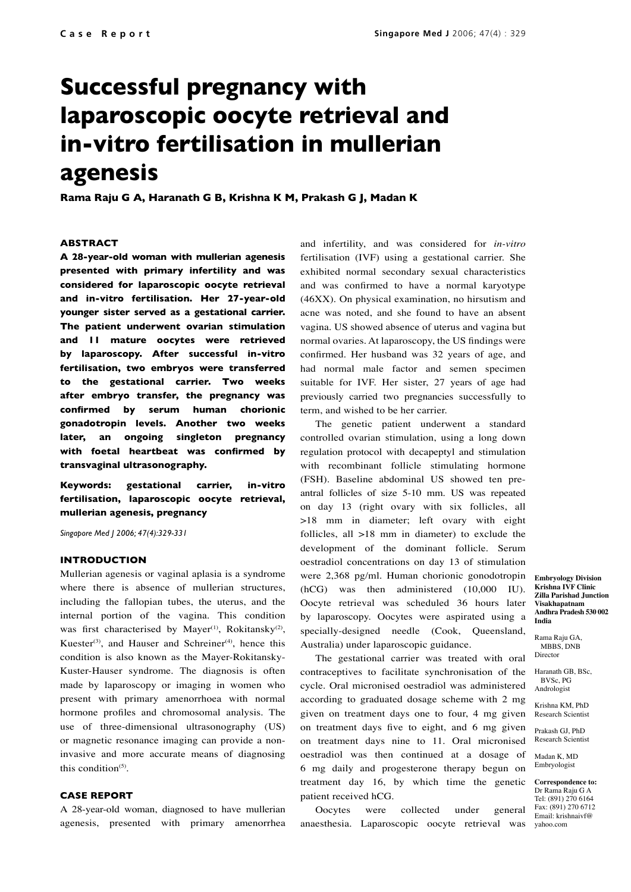# **Successful pregnancy with laparoscopic oocyte retrieval and in-vitro fertilisation in mullerian agenesis**

**Rama Raju G A, Haranath G B, Krishna K M, Prakash G J, Madan K**

## **ABSTRACT**

**A 28-year-old woman with mullerian agenesis presented with primary infertility and was considered for laparoscopic oocyte retrieval and in-vitro fertilisation. Her 27-year-old younger sister served as a gestational carrier. The patient underwent ovarian stimulation and 11 mature oocytes were retrieved by laparoscopy. After successful in-vitro fertilisation, two embryos were transferred to the gestational carrier. Two weeks after embryo transfer, the pregnancy was confirmed by serum human chorionic gonadotropin levels. Another two weeks later, an ongoing singleton pregnancy with foetal heartbeat was confirmed by transvaginal ultrasonography.**

**Keywords: gestational carrier, in-vitro fertilisation, laparoscopic oocyte retrieval, mullerian agenesis, pregnancy**

*Singapore Med J 2006; 47(4):329-331*

## **INTRODUCTION**

Mullerian agenesis or vaginal aplasia is a syndrome where there is absence of mullerian structures, including the fallopian tubes, the uterus, and the internal portion of the vagina. This condition was first characterised by Mayer<sup>(1)</sup>, Rokitansky<sup>(2)</sup>, Kuester<sup>(3)</sup>, and Hauser and Schreiner<sup>(4)</sup>, hence this condition is also known as the Mayer-Rokitansky-Kuster-Hauser syndrome. The diagnosis is often made by laparoscopy or imaging in women who present with primary amenorrhoea with normal hormone profiles and chromosomal analysis. The use of three-dimensional ultrasonography (US) or magnetic resonance imaging can provide a noninvasive and more accurate means of diagnosing this condition(5).

## **CASE REPORT**

A 28-year-old woman, diagnosed to have mullerian agenesis, presented with primary amenorrhea and infertility, and was considered for *in-vitro* fertilisation (IVF) using a gestational carrier. She exhibited normal secondary sexual characteristics and was confirmed to have a normal karyotype (46XX). On physical examination, no hirsutism and acne was noted, and she found to have an absent vagina. US showed absence of uterus and vagina but normal ovaries. At laparoscopy, the US findings were confirmed. Her husband was 32 years of age, and had normal male factor and semen specimen suitable for IVF. Her sister, 27 years of age had previously carried two pregnancies successfully to term, and wished to be her carrier.

The genetic patient underwent a standard controlled ovarian stimulation, using a long down regulation protocol with decapeptyl and stimulation with recombinant follicle stimulating hormone (FSH). Baseline abdominal US showed ten preantral follicles of size 5-10 mm. US was repeated on day 13 (right ovary with six follicles, all >18 mm in diameter; left ovary with eight follicles, all >18 mm in diameter) to exclude the development of the dominant follicle. Serum oestradiol concentrations on day 13 of stimulation were 2,368 pg/ml. Human chorionic gonodotropin (hCG) was then administered (10,000 IU). Oocyte retrieval was scheduled 36 hours later by laparoscopy. Oocytes were aspirated using a specially-designed needle (Cook, Queensland, Australia) under laparoscopic guidance.

The gestational carrier was treated with oral contraceptives to facilitate synchronisation of the cycle. Oral micronised oestradiol was administered according to graduated dosage scheme with 2 mg given on treatment days one to four, 4 mg given on treatment days five to eight, and 6 mg given on treatment days nine to 11. Oral micronised oestradiol was then continued at a dosage of 6 mg daily and progesterone therapy begun on treatment day 16, by which time the genetic patient received hCG.

Oocytes were collected under general anaesthesia. Laparoscopic oocyte retrieval was

**Embryology Division Krishna IVF Clinic Zilla Parishad Junction Visakhapatnam Andhra Pradesh 530 002 India**

Rama Raju GA, MBBS, DNB Director

Haranath GB, BSc, BVSc, PG Andrologist

Krishna KM, PhD Research Scientist

Prakash GJ, PhD Research Scientist

Madan K, MD Embryologist

**Correspondence to:** Dr Rama Raju G A Tel: (891) 270 6164 Fax: (891) 270 6712 Email: krishnaivf@ yahoo.com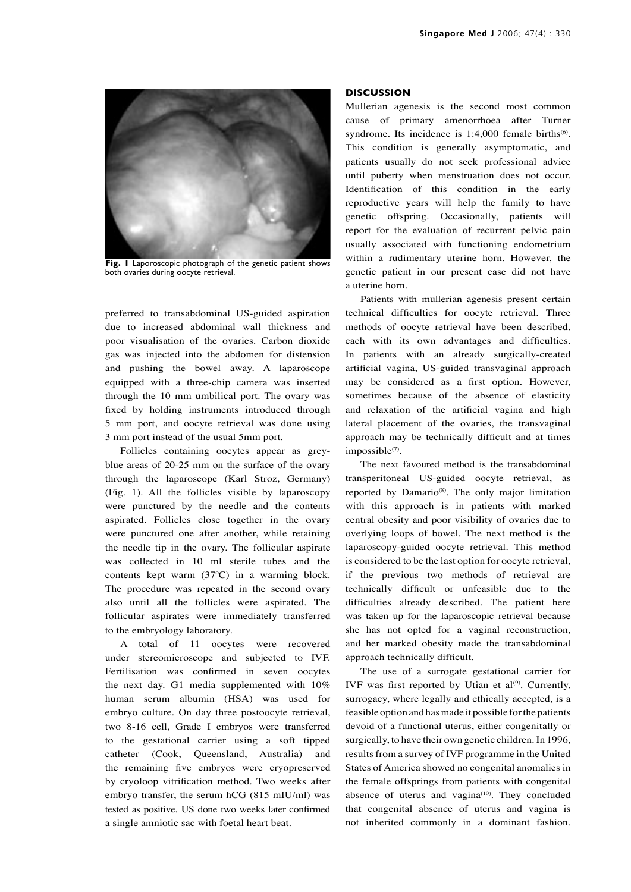

**Fig. 1** Laporoscopic photograph of the genetic patient shows both ovaries during oocyte retrieval.

preferred to transabdominal US-guided aspiration due to increased abdominal wall thickness and poor visualisation of the ovaries. Carbon dioxide gas was injected into the abdomen for distension and pushing the bowel away. A laparoscope equipped with a three-chip camera was inserted through the 10 mm umbilical port. The ovary was fixed by holding instruments introduced through 5 mm port, and oocyte retrieval was done using 3 mm port instead of the usual 5mm port.

Follicles containing oocytes appear as greyblue areas of 20-25 mm on the surface of the ovary through the laparoscope (Karl Stroz, Germany) (Fig. 1). All the follicles visible by laparoscopy were punctured by the needle and the contents aspirated. Follicles close together in the ovary were punctured one after another, while retaining the needle tip in the ovary. The follicular aspirate was collected in 10 ml sterile tubes and the contents kept warm (37ºC) in a warming block. The procedure was repeated in the second ovary also until all the follicles were aspirated. The follicular aspirates were immediately transferred to the embryology laboratory.

A total of 11 oocytes were recovered under stereomicroscope and subjected to IVF. Fertilisation was confirmed in seven oocytes the next day. G1 media supplemented with 10% human serum albumin (HSA) was used for embryo culture. On day three postoocyte retrieval, two 8-16 cell, Grade I embryos were transferred to the gestational carrier using a soft tipped catheter (Cook, Queensland, Australia) and the remaining five embryos were cryopreserved by cryoloop vitrification method. Two weeks after embryo transfer, the serum hCG (815 mIU/ml) was tested as positive. US done two weeks later confirmed a single amniotic sac with foetal heart beat.

#### **DISCUSSION**

Mullerian agenesis is the second most common cause of primary amenorrhoea after Turner syndrome. Its incidence is  $1:4,000$  female births<sup>(6)</sup>. This condition is generally asymptomatic, and patients usually do not seek professional advice until puberty when menstruation does not occur. Identification of this condition in the early reproductive years will help the family to have genetic offspring. Occasionally, patients will report for the evaluation of recurrent pelvic pain usually associated with functioning endometrium within a rudimentary uterine horn. However, the genetic patient in our present case did not have a uterine horn.

Patients with mullerian agenesis present certain technical difficulties for oocyte retrieval. Three methods of oocyte retrieval have been described, each with its own advantages and difficulties. In patients with an already surgically-created artificial vagina, US-guided transvaginal approach may be considered as a first option. However, sometimes because of the absence of elasticity and relaxation of the artificial vagina and high lateral placement of the ovaries, the transvaginal approach may be technically difficult and at times impossible<sup>(7)</sup>.

The next favoured method is the transabdominal transperitoneal US-guided oocyte retrieval, as reported by Damario<sup>(8)</sup>. The only major limitation with this approach is in patients with marked central obesity and poor visibility of ovaries due to overlying loops of bowel. The next method is the laparoscopy-guided oocyte retrieval. This method is considered to be the last option for oocyte retrieval, if the previous two methods of retrieval are technically difficult or unfeasible due to the difficulties already described. The patient here was taken up for the laparoscopic retrieval because she has not opted for a vaginal reconstruction, and her marked obesity made the transabdominal approach technically difficult.

The use of a surrogate gestational carrier for IVF was first reported by Utian et al $^{(9)}$ . Currently, surrogacy, where legally and ethically accepted, is a feasible option and has made it possible for the patients devoid of a functional uterus, either congenitally or surgically, to have their own genetic children. In 1996, results from a survey of IVF programme in the United States of America showed no congenital anomalies in the female offsprings from patients with congenital absence of uterus and vagina $(10)$ . They concluded that congenital absence of uterus and vagina is not inherited commonly in a dominant fashion.